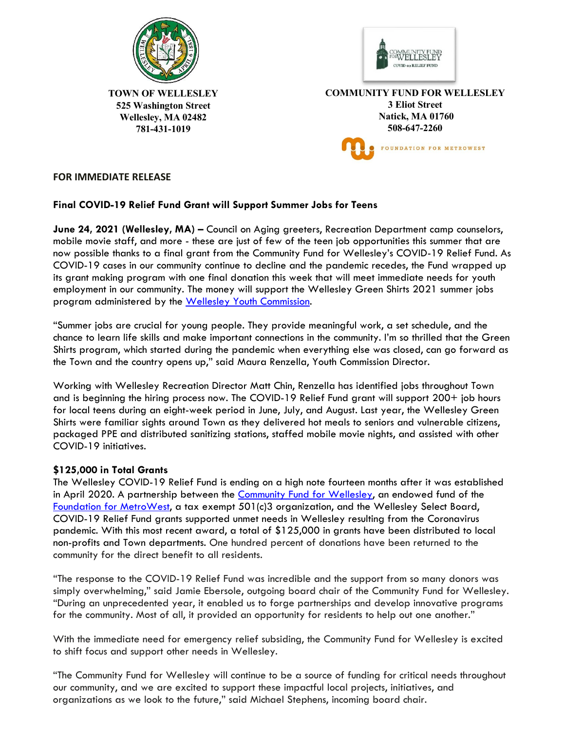



**TOWN OF WELLESLEY 525 Washington Street Wellesley, MA 02482 781-431-1019** 

**COMMUNITY FUND FOR WELLESLEY 3 Eliot Street Natick, MA 01760 508-647-2260** FOUNDATION FOR METROWEST

## **FOR IMMEDIATE RELEASE**

## **Final COVID-19 Relief Fund Grant will Support Summer Jobs for Teens**

**June 24, 2021 (Wellesley, MA) –** Council on Aging greeters, Recreation Department camp counselors, mobile movie staff, and more - these are just of few of the teen job opportunities this summer that are now possible thanks to a final grant from the Community Fund for Wellesley's COVID-19 Relief Fund. As COVID-19 cases in our community continue to decline and the pandemic recedes, the Fund wrapped up its grant making program with one final donation this week that will meet immediate needs for youth employment in our community. The money will support the Wellesley Green Shirts 2021 summer jobs program administered by the [Wellesley Youth Commission.](https://www.wellesleyma.gov/490/Youth-Commission)

"Summer jobs are crucial for young people. They provide meaningful work, a set schedule, and the chance to learn life skills and make important connections in the community. I'm so thrilled that the Green Shirts program, which started during the pandemic when everything else was closed, can go forward as the Town and the country opens up," said Maura Renzella, Youth Commission Director.

Working with Wellesley Recreation Director Matt Chin, Renzella has identified jobs throughout Town and is beginning the hiring process now. The COVID-19 Relief Fund grant will support 200+ job hours for local teens during an eight-week period in June, July, and August. Last year, the Wellesley Green Shirts were familiar sights around Town as they delivered hot meals to seniors and vulnerable citizens, packaged PPE and distributed sanitizing stations, staffed mobile movie nights, and assisted with other COVID-19 initiatives.

## **\$125,000 in Total Grants**

The Wellesley COVID-19 Relief Fund is ending on a high note fourteen months after it was established in April 2020. A partnership between the [Community Fund for Wellesley,](https://foundationmw.org/give/town-funds/community-fund-for-wellesley/) an endowed fund of the [Foundation for MetroWest,](https://foundationmw.org/give/town-funds/) a tax exempt 501(c)3 organization, and the Wellesley Select Board, COVID-19 Relief Fund grants supported unmet needs in Wellesley resulting from the Coronavirus pandemic. With this most recent award, a total of \$125,000 in grants have been distributed to local non-profits and Town departments. One hundred percent of donations have been returned to the community for the direct benefit to all residents.

"The response to the COVID-19 Relief Fund was incredible and the support from so many donors was simply overwhelming," said Jamie Ebersole, outgoing board chair of the Community Fund for Wellesley. "During an unprecedented year, it enabled us to forge partnerships and develop innovative programs for the community. Most of all, it provided an opportunity for residents to help out one another."

With the immediate need for emergency relief subsiding, the Community Fund for Wellesley is excited to shift focus and support other needs in Wellesley.

"The Community Fund for Wellesley will continue to be a source of funding for critical needs throughout our community, and we are excited to support these impactful local projects, initiatives, and organizations as we look to the future," said Michael Stephens, incoming board chair.